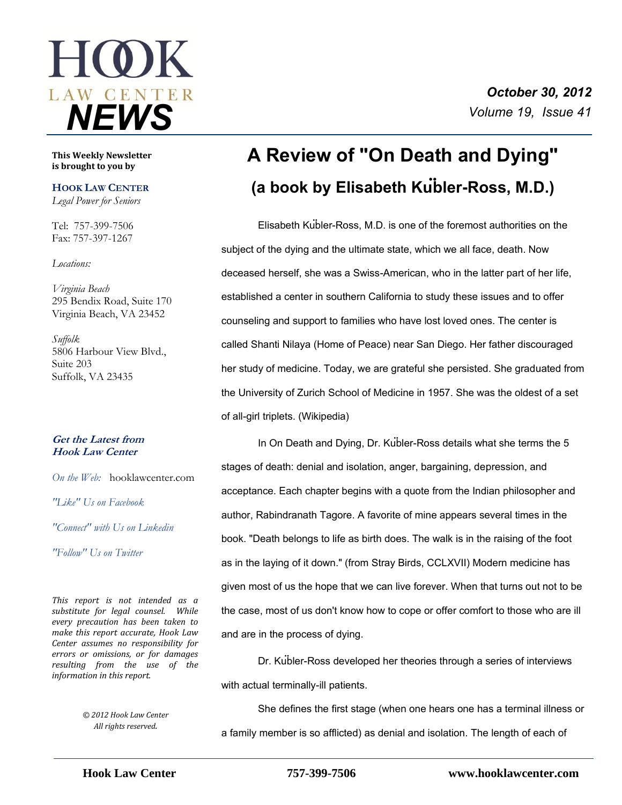

**This Weekly Newsletter is brought to you by** 

### **HOOK LAW CENTER**

*Legal Power for Seniors*

Tel: 757-399-7506 Fax: 757-397-1267

*Locations:*

*Virginia Beach* 295 Bendix Road, Suite 170 Virginia Beach, VA 23452

*Suffolk* 5806 Harbour View Blvd., Suite 203 Suffolk, VA 23435

#### **Get the Latest from Hook Law Center**

*On the Web:* [hooklawcenter.com](http://www.hooklawcenter.com/)

*"Like" Us on Facebook*

*"Connect" with Us on Linkedin*

*"Follow" Us on Twitter*

*This report is not intended as a substitute for legal counsel. While every precaution has been taken to make this report accurate, Hook Law Center assumes no responsibility for errors or omissions, or for damages resulting from the use of the information in this report.*

> *© 2012 Hook Law Center All rights reserved.*

## **A Review of "On Death and Dying" (a book by Elisabeth Kubler-Ross, M.D.)**

Elisabeth Kubler-Ross, M.D. is one of the foremost authorities on the subject of the dying and the ultimate state, which we all face, death. Now deceased herself, she was a Swiss-American, who in the latter part of her life, established a center in southern California to study these issues and to offer counseling and support to families who have lost loved ones. The center is called Shanti Nilaya (Home of Peace) near San Diego. Her father discouraged her study of medicine. Today, we are grateful she persisted. She graduated from the University of Zurich School of Medicine in 1957. She was the oldest of a set of all-girl triplets. (Wikipedia)

In On Death and Dying, Dr. Kubler-Ross details what she terms the 5 stages of death: denial and isolation, anger, bargaining, depression, and acceptance. Each chapter begins with a quote from the Indian philosopher and author, Rabindranath Tagore. A favorite of mine appears several times in the book. "Death belongs to life as birth does. The walk is in the raising of the foot as in the laying of it down." (from Stray Birds, CCLXVII) Modern medicine has given most of us the hope that we can live forever. When that turns out not to be the case, most of us don't know how to cope or offer comfort to those who are ill and are in the process of dying.

Dr. Kubler-Ross developed her theories through a series of interviews with actual terminally-ill patients.

She defines the first stage (when one hears one has a terminal illness or a family member is so afflicted) as denial and isolation. The length of each of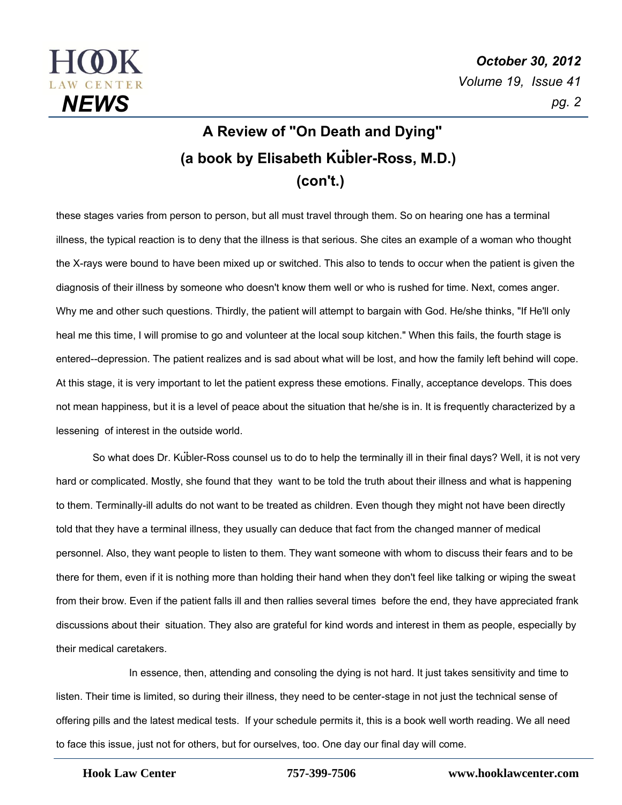

# *pg. 2* **A Review of "On Death and Dying" (a book by Elisabeth Kubler-Ross, M.D.) (con't.)**

these stages varies from person to person, but all must travel through them. So on hearing one has a terminal illness, the typical reaction is to deny that the illness is that serious. She cites an example of a woman who thought the X-rays were bound to have been mixed up or switched. This also to tends to occur when the patient is given the diagnosis of their illness by someone who doesn't know them well or who is rushed for time. Next, comes anger. Why me and other such questions. Thirdly, the patient will attempt to bargain with God. He/she thinks, "If He'll only heal me this time, I will promise to go and volunteer at the local soup kitchen." When this fails, the fourth stage is entered--depression. The patient realizes and is sad about what will be lost, and how the family left behind will cope. At this stage, it is very important to let the patient express these emotions. Finally, acceptance develops. This does not mean happiness, but it is a level of peace about the situation that he/she is in. It is frequently characterized by a lessening of interest in the outside world.

So what does Dr. Kubler-Ross counsel us to do to help the terminally ill in their final days? Well, it is not very hard or complicated. Mostly, she found that they want to be told the truth about their illness and what is happening to them. Terminally-ill adults do not want to be treated as children. Even though they might not have been directly told that they have a terminal illness, they usually can deduce that fact from the changed manner of medical personnel. Also, they want people to listen to them. They want someone with whom to discuss their fears and to be there for them, even if it is nothing more than holding their hand when they don't feel like talking or wiping the sweat from their brow. Even if the patient falls ill and then rallies several times before the end, they have appreciated frank discussions about their situation. They also are grateful for kind words and interest in them as people, especially by their medical caretakers.

In essence, then, attending and consoling the dying is not hard. It just takes sensitivity and time to listen. Their time is limited, so during their illness, they need to be center-stage in not just the technical sense of offering pills and the latest medical tests. If your schedule permits it, this is a book well worth reading. We all need to face this issue, just not for others, but for ourselves, too. One day our final day will come.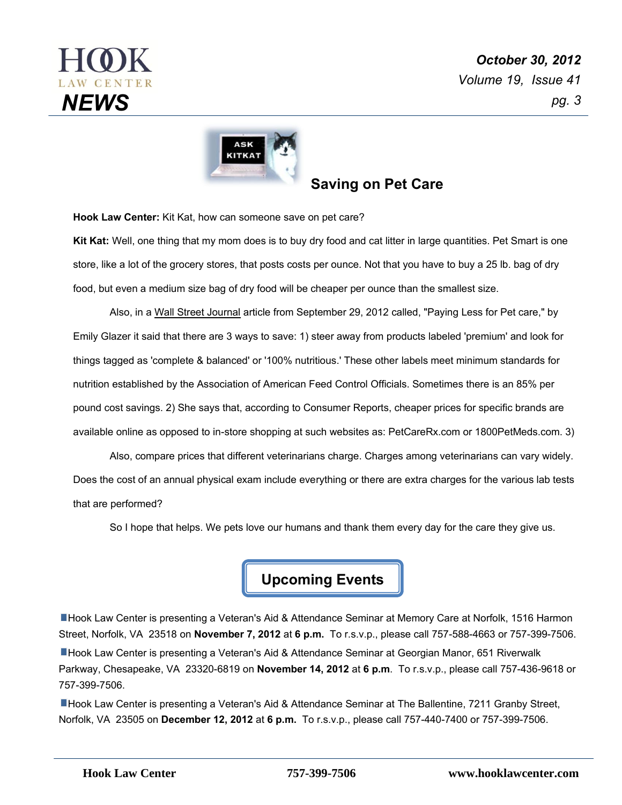



## **Saving on Pet Care**

**Hook Law Center:** Kit Kat, how can someone save on pet care?

**Kit Kat:** Well, one thing that my mom does is to buy dry food and cat litter in large quantities. Pet Smart is one store, like a lot of the grocery stores, that posts costs per ounce. Not that you have to buy a 25 lb. bag of dry food, but even a medium size bag of dry food will be cheaper per ounce than the smallest size.

Also, in a Wall Street Journal article from September 29, 2012 called, "Paying Less for Pet care," by Emily Glazer it said that there are 3 ways to save: 1) steer away from products labeled 'premium' and look for things tagged as 'complete & balanced' or '100% nutritious.' These other labels meet minimum standards for nutrition established by the Association of American Feed Control Officials. Sometimes there is an 85% per pound cost savings. 2) She says that, according to Consumer Reports, cheaper prices for specific brands are available online as opposed to in-store shopping at such websites as: PetCareRx.com or 1800PetMeds.com. 3)

Also, compare prices that different veterinarians charge. Charges among veterinarians can vary widely. Does the cost of an annual physical exam include everything or there are extra charges for the various lab tests that are performed?

So I hope that helps. We pets love our humans and thank them every day for the care they give us.

**Upcoming Events**

**Hook Law Center is presenting a Veteran's Aid & Attendance Seminar at Memory Care at Norfolk, 1516 Harmon** Street, Norfolk, VA 23518 on **November 7, 2012** at **6 p.m.** To r.s.v.p., please call 757-588-4663 or 757-399-7506. Hook Law Center is presenting a Veteran's Aid & Attendance Seminar at Georgian Manor, 651 Riverwalk Parkway, Chesapeake, VA 23320-6819 on **November 14, 2012** at **6 p.m**. To r.s.v.p., please call 757-436-9618 or 757-399-7506.

**Hook Law Center is presenting a Veteran's Aid & Attendance Seminar at The Ballentine, 7211 Granby Street,** Norfolk, VA 23505 on **December 12, 2012** at **6 p.m.** To r.s.v.p., please call 757-440-7400 or 757-399-7506.